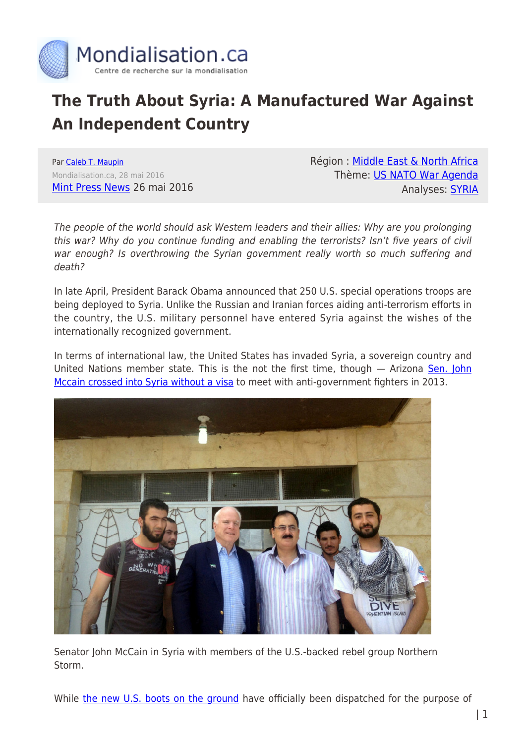

# **The Truth About Syria: A Manufactured War Against An Independent Country**

Par [Caleb T. Maupin](https://www.mondialisation.ca/author/caleb-t-maupin) Mondialisation.ca, 28 mai 2016 [Mint Press News](http://www.mintpressnews.com/truth-syria-manufactured-war-independent-country-2/216688/) 26 mai 2016 Région : [Middle East & North Africa](https://www.mondialisation.ca/region/middle-east) Thème: [US NATO War Agenda](https://www.mondialisation.ca/theme/us-nato-war-agenda) Analyses: [SYRIA](https://www.mondialisation.ca/indepthreport/syria-nato-s-next-war)

The people of the world should ask Western leaders and their allies: Why are you prolonging this war? Why do you continue funding and enabling the terrorists? Isn't five years of civil war enough? Is overthrowing the Syrian government really worth so much suffering and death?

In late April, President Barack Obama announced that 250 U.S. special operations troops are being deployed to Syria. Unlike the Russian and Iranian forces aiding anti-terrorism efforts in the country, the U.S. military personnel have entered Syria against the wishes of the internationally recognized government.

In terms of international law, the United States has invaded Syria, a sovereign country and United Nations member state. This is the not the first time, though  $-$  Arizona [Sen. John](http://www.globalresearch.ca/did-john-mccain-meet-with-abu-bakral-baghdadi-the-alleged-head-of-the-islamic-state-isis-isil-daesh/5498177) [Mccain crossed into Syria without a visa](http://www.globalresearch.ca/did-john-mccain-meet-with-abu-bakral-baghdadi-the-alleged-head-of-the-islamic-state-isis-isil-daesh/5498177) to meet with anti-government fighters in 2013.



Senator John McCain in Syria with members of the U.S.-backed rebel group Northern Storm.

While [the new U.S. boots on the ground](https://theintercept.com/2016/04/29/as-more-american-boots-hit-the-ground-in-syria-u-s-parses-boots-and-ground/) have officially been dispatched for the purpose of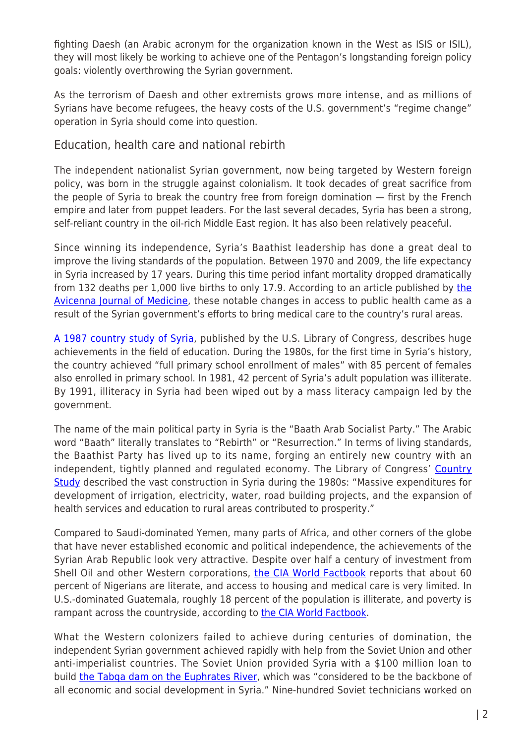fighting Daesh (an Arabic acronym for the organization known in the West as ISIS or ISIL), they will most likely be working to achieve one of the Pentagon's longstanding foreign policy goals: violently overthrowing the Syrian government.

As the terrorism of Daesh and other extremists grows more intense, and as millions of Syrians have become refugees, the heavy costs of the U.S. government's "regime change" operation in Syria should come into question.

## Education, health care and national rebirth

The independent nationalist Syrian government, now being targeted by Western foreign policy, was born in the struggle against colonialism. It took decades of great sacrifice from the people of Syria to break the country free from foreign domination — first by the French empire and later from puppet leaders. For the last several decades, Syria has been a strong, self-reliant country in the oil-rich Middle East region. It has also been relatively peaceful.

Since winning its independence, Syria's Baathist leadership has done a great deal to improve the living standards of the population. Between 1970 and 2009, the life expectancy in Syria increased by 17 years. During this time period infant mortality dropped dramatically from 132 deaths per 1,000 live births to only 17.9. According to an article published by [the](http://www.ncbi.nlm.nih.gov/pmc/articles/PMC3697421/) [Avicenna Journal of Medicine,](http://www.ncbi.nlm.nih.gov/pmc/articles/PMC3697421/) these notable changes in access to public health came as a result of the Syrian government's efforts to bring medical care to the country's rural areas.

[A 1987 country study of Syria,](http://countrystudies.us/syria/37.htm) published by the U.S. Library of Congress, describes huge achievements in the field of education. During the 1980s, for the first time in Syria's history, the country achieved "full primary school enrollment of males" with 85 percent of females also enrolled in primary school. In 1981, 42 percent of Syria's adult population was illiterate. By 1991, illiteracy in Syria had been wiped out by a mass literacy campaign led by the government.

The name of the main political party in Syria is the "Baath Arab Socialist Party." The Arabic word "Baath" literally translates to "Rebirth" or "Resurrection." In terms of living standards, the Baathist Party has lived up to its name, forging an entirely new country with an independent, tightly planned and regulated economy. The Library of Congress' [Country](http://countrystudies.us/syria/39.htm) [Study](http://countrystudies.us/syria/39.htm) described the vast construction in Syria during the 1980s: "Massive expenditures for development of irrigation, electricity, water, road building projects, and the expansion of health services and education to rural areas contributed to prosperity."

Compared to Saudi-dominated Yemen, many parts of Africa, and other corners of the globe that have never established economic and political independence, the achievements of the Syrian Arab Republic look very attractive. Despite over half a century of investment from Shell Oil and other Western corporations, [the CIA World Factbook](https://www.cia.gov/library/publications/the-world-factbook/geos/ni.html) reports that about 60 percent of Nigerians are literate, and access to housing and medical care is very limited. In U.S.-dominated Guatemala, roughly 18 percent of the population is illiterate, and poverty is rampant across the countryside, according to [the CIA World Factbook.](https://www.cia.gov/library/publications/the-world-factbook/geos/gt.html)

What the Western colonizers failed to achieve during centuries of domination, the independent Syrian government achieved rapidly with help from the Soviet Union and other anti-imperialist countries. The Soviet Union provided Syria with a \$100 million loan to build the Tabga dam on the Euphrates River, which was "considered to be the backbone of all economic and social development in Syria." Nine-hundred Soviet technicians worked on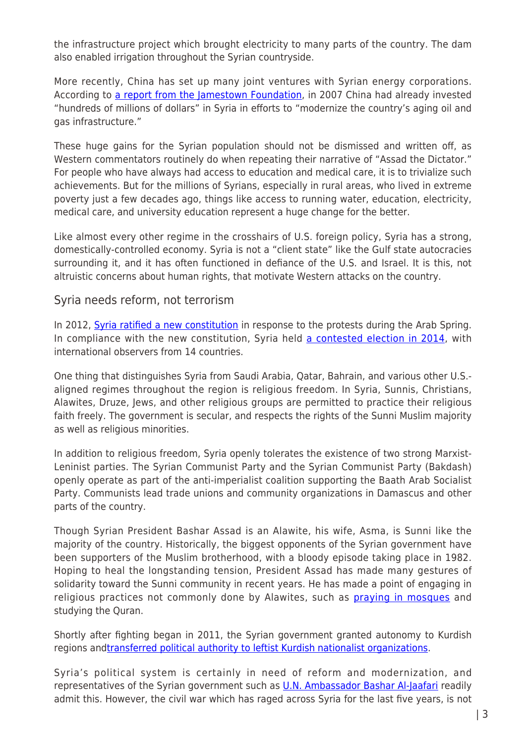the infrastructure project which brought electricity to many parts of the country. The dam also enabled irrigation throughout the Syrian countryside.

More recently, China has set up many joint ventures with Syrian energy corporations. According to [a report from the Jamestown Foundation,](http://www.jamestown.org/single/?no_cache=1&tx_ttnews%5Btt_news%5D=5231#.V0SSMvkrKJA) in 2007 China had already invested "hundreds of millions of dollars" in Syria in efforts to "modernize the country's aging oil and gas infrastructure."

These huge gains for the Syrian population should not be dismissed and written off, as Western commentators routinely do when repeating their narrative of "Assad the Dictator." For people who have always had access to education and medical care, it is to trivialize such achievements. But for the millions of Syrians, especially in rural areas, who lived in extreme poverty just a few decades ago, things like access to running water, education, electricity, medical care, and university education represent a huge change for the better.

Like almost every other regime in the crosshairs of U.S. foreign policy, Syria has a strong, domestically-controlled economy. Syria is not a "client state" like the Gulf state autocracies surrounding it, and it has often functioned in defiance of the U.S. and Israel. It is this, not altruistic concerns about human rights, that motivate Western attacks on the country.

### Syria needs reform, not terrorism

In 2012, [Syria ratified a new constitution](http://sputniknews.com/voiceofrussia/2012_02_27/67032805/)) in response to the protests during the Arab Spring. In compliance with the new constitution, Syria held [a contested election in 2014,](http://www.globalresearch.ca/syrian-election-observers-expression-of-peoples-will-was-valid-and-the-polls-passed-in-a-democratic-and-positive-atmosphere/5385394) with international observers from 14 countries.

One thing that distinguishes Syria from Saudi Arabia, Qatar, Bahrain, and various other U.S. aligned regimes throughout the region is religious freedom. In Syria, Sunnis, Christians, Alawites, Druze, Jews, and other religious groups are permitted to practice their religious faith freely. The government is secular, and respects the rights of the Sunni Muslim majority as well as religious minorities.

In addition to religious freedom, Syria openly tolerates the existence of two strong Marxist-Leninist parties. The Syrian Communist Party and the Syrian Communist Party (Bakdash) openly operate as part of the anti-imperialist coalition supporting the Baath Arab Socialist Party. Communists lead trade unions and community organizations in Damascus and other parts of the country.

Though Syrian President Bashar Assad is an Alawite, his wife, Asma, is Sunni like the majority of the country. Historically, the biggest opponents of the Syrian government have been supporters of the Muslim brotherhood, with a bloody episode taking place in 1982. Hoping to heal the longstanding tension, President Assad has made many gestures of solidarity toward the Sunni community in recent years. He has made a point of engaging in religious practices not commonly done by Alawites, such as **[praying in mosques](http://www.reuters.com/article/us-mideast-crisis-syria-assad-idUSKCN0RO1U720150924)** and studying the Quran.

Shortly after fighting began in 2011, the Syrian government granted autonomy to Kurdish regions an[dtransferred political authority to leftist Kurdish nationalist organizations](http://www.mcclatchydc.com/news/nation-world/world/article24733318.html).

Syria's political system is certainly in need of reform and modernization, and representatives of the Syrian government such as **U.N. Ambassador Bashar Al-Jaafari** readily admit this. However, the civil war which has raged across Syria for the last five years, is not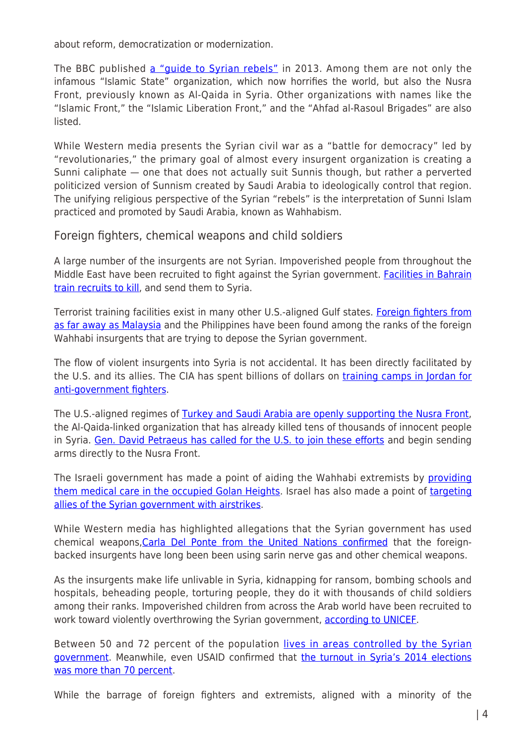about reform, democratization or modernization.

The BBC published [a "guide to Syrian rebels"](http://www.bbc.com/news/world-middle-east-24403003) in 2013. Among them are not only the infamous "Islamic State" organization, which now horrifies the world, but also the Nusra Front, previously known as Al-Qaida in Syria. Other organizations with names like the "Islamic Front," the "Islamic Liberation Front," and the "Ahfad al-Rasoul Brigades" are also listed.

While Western media presents the Syrian civil war as a "battle for democracy" led by "revolutionaries," the primary goal of almost every insurgent organization is creating a Sunni caliphate — one that does not actually suit Sunnis though, but rather a perverted politicized version of Sunnism created by Saudi Arabia to ideologically control that region. The unifying religious perspective of the Syrian "rebels" is the interpretation of Sunni Islam practiced and promoted by Saudi Arabia, known as Wahhabism.

Foreign fighters, chemical weapons and child soldiers

A large number of the insurgents are not Syrian. Impoverished people from throughout the Middle East have been recruited to fight against the Syrian government. [Facilities in Bahrain](http://www.al-monitor.com/pulse/originals/2013/06/bahrain-jihadists-syria-salafism.html) [train recruits to kill,](http://www.al-monitor.com/pulse/originals/2013/06/bahrain-jihadists-syria-salafism.html) and send them to Syria.

Terrorist training facilities exist in many other U.S.-aligned Gulf states. [Foreign fighters from](http://www.themalaysianinsider.com/malaysia/article/more-than-100-malaysians-still-fighting-in-syria-and-iraq-say-intelligence) [as far away as Malaysia](http://www.themalaysianinsider.com/malaysia/article/more-than-100-malaysians-still-fighting-in-syria-and-iraq-say-intelligence) and the Philippines have been found among the ranks of the foreign Wahhabi insurgents that are trying to depose the Syrian government.

The flow of violent insurgents into Syria is not accidental. It has been directly facilitated by the U.S. and its allies. The CIA has spent billions of dollars on [training camps in Jordan for](http://www.cbsnews.com/news/ap-us-training-syria-rebels-in-jordan/) [anti-government fighters](http://www.cbsnews.com/news/ap-us-training-syria-rebels-in-jordan/).

The U.S.-aligned regimes of **Turkey and Saudi Arabia are openly supporting the Nusra Front**, the Al-Qaida-linked organization that has already killed tens of thousands of innocent people in Syria. [Gen. David Petraeus has called for the U.S. to join these efforts](http://www.theguardian.com/commentisfree/2015/sep/02/david-petraeus-bright-idea-give-terrorists-weapons-to-beat-isis) and begin sending arms directly to the Nusra Front.

The Israeli government has made a point of aiding the Wahhabi extremists by [providing](http://www.timesofisrael.com/yaalon-syrian-rebels-keeping-druze-safe-in-exchange-for-israeli-aid/) [them medical care in the occupied Golan Heights](http://www.timesofisrael.com/yaalon-syrian-rebels-keeping-druze-safe-in-exchange-for-israeli-aid/). Israel has also made a point of [targeting](http://www.israelnationalnews.com/News/News.aspx/206253#.Vz9lLfkrKJA) [allies of the Syrian government with airstrikes](http://www.israelnationalnews.com/News/News.aspx/206253#.Vz9lLfkrKJA).

While Western media has highlighted allegations that the Syrian government has used chemical weapons, Carla Del Ponte from the United Nations confirmed that the foreignbacked insurgents have long been been using sarin nerve gas and other chemical weapons.

As the insurgents make life unlivable in Syria, kidnapping for ransom, bombing schools and hospitals, beheading people, torturing people, they do it with thousands of child soldiers among their ranks. Impoverished children from across the Arab world have been recruited to work toward violently overthrowing the Syrian government, [according to UNICEF](http://www.reuters.com/article/us-mideast-crisis-syria-children-idUSKCN0WG0R0).

Between 50 and 72 percent of the population [lives in areas controlled by the Syrian](http://www.vox.com/2015/2/2/7963447/syria-control-territory) [government](http://www.vox.com/2015/2/2/7963447/syria-control-territory). Meanwhile, even USAID confirmed that [the turnout in Syria's 2014 elections](http://journal-neo.org/2016/04/23/syrian-elections-confirm-wests-worst-fears/) [was more than 70 percent](http://journal-neo.org/2016/04/23/syrian-elections-confirm-wests-worst-fears/).

While the barrage of foreign fighters and extremists, aligned with a minority of the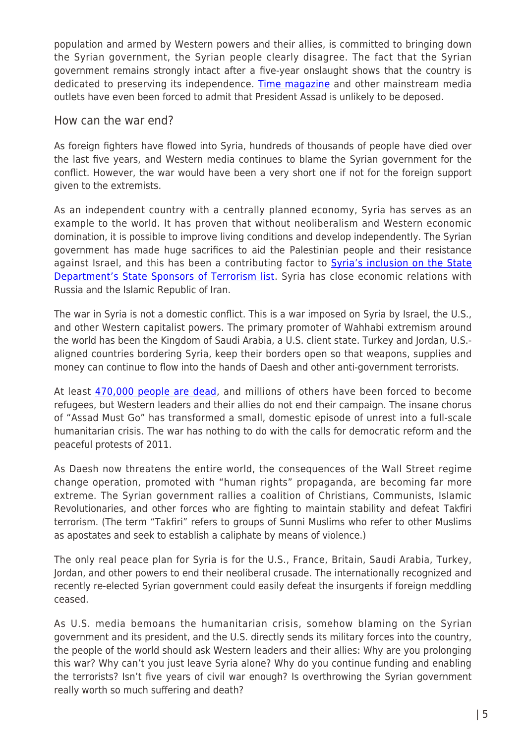population and armed by Western powers and their allies, is committed to bringing down the Syrian government, the Syrian people clearly disagree. The fact that the Syrian government remains strongly intact after a five-year onslaught shows that the country is dedicated to preserving its independence. [Time magazine](http://time.com/4039940/these-5-facts-explain-bashar-assads-hold-in-syria/) and other mainstream media outlets have even been forced to admit that President Assad is unlikely to be deposed.

#### How can the war end?

As foreign fighters have flowed into Syria, hundreds of thousands of people have died over the last five years, and Western media continues to blame the Syrian government for the conflict. However, the war would have been a very short one if not for the foreign support given to the extremists.

As an independent country with a centrally planned economy, Syria has serves as an example to the world. It has proven that without neoliberalism and Western economic domination, it is possible to improve living conditions and develop independently. The Syrian government has made huge sacrifices to aid the Palestinian people and their resistance against Israel, and this has been a contributing factor to **[Syria's inclusion on the State](http://www.cfr.org/syria/state-sponsor-syria/p9368)** [Department's State Sponsors of Terrorism list.](http://www.cfr.org/syria/state-sponsor-syria/p9368) Syria has close economic relations with Russia and the Islamic Republic of Iran.

The war in Syria is not a domestic conflict. This is a war imposed on Syria by Israel, the U.S., and other Western capitalist powers. The primary promoter of Wahhabi extremism around the world has been the Kingdom of Saudi Arabia, a U.S. client state. Turkey and Jordan, U.S. aligned countries bordering Syria, keep their borders open so that weapons, supplies and money can continue to flow into the hands of Daesh and other anti-government terrorists.

At least [470,000 people are dead](http://www.nytimes.com/2016/02/12/world/middleeast/death-toll-from-war-in-syria-now-470000-group-finds.html?_r=0), and millions of others have been forced to become refugees, but Western leaders and their allies do not end their campaign. The insane chorus of "Assad Must Go" has transformed a small, domestic episode of unrest into a full-scale humanitarian crisis. The war has nothing to do with the calls for democratic reform and the peaceful protests of 2011.

As Daesh now threatens the entire world, the consequences of the Wall Street regime change operation, promoted with "human rights" propaganda, are becoming far more extreme. The Syrian government rallies a coalition of Christians, Communists, Islamic Revolutionaries, and other forces who are fighting to maintain stability and defeat Takfiri terrorism. (The term "Takfiri" refers to groups of Sunni Muslims who refer to other Muslims as apostates and seek to establish a caliphate by means of violence.)

The only real peace plan for Syria is for the U.S., France, Britain, Saudi Arabia, Turkey, Jordan, and other powers to end their neoliberal crusade. The internationally recognized and recently re-elected Syrian government could easily defeat the insurgents if foreign meddling ceased.

As U.S. media bemoans the humanitarian crisis, somehow blaming on the Syrian government and its president, and the U.S. directly sends its military forces into the country, the people of the world should ask Western leaders and their allies: Why are you prolonging this war? Why can't you just leave Syria alone? Why do you continue funding and enabling the terrorists? Isn't five years of civil war enough? Is overthrowing the Syrian government really worth so much suffering and death?